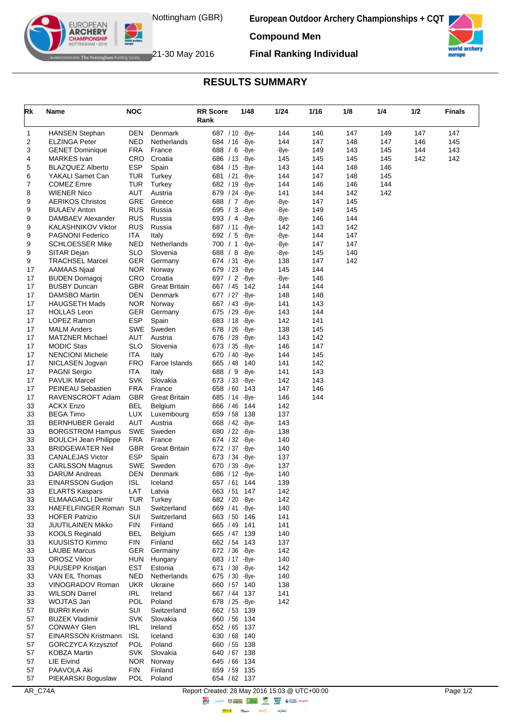

**European Outdoor Archery Championships + CQT**



world ar europe

The Nottingham Building Society 21-30 May 2016

EUROPEAN **ARCHERY** 

**Final Ranking Individual**

## **RESULTS SUMMARY**

| Rk       | Name                                          | <b>NOC</b>               |                       | <b>RR Score</b>                    | 1/48           | 1/24         | 1/16       | 1/8        | 1/4 | 1/2 | <b>Finals</b> |
|----------|-----------------------------------------------|--------------------------|-----------------------|------------------------------------|----------------|--------------|------------|------------|-----|-----|---------------|
|          |                                               |                          |                       | Rank                               |                |              |            |            |     |     |               |
| 1        | HANSEN Stephan                                | DEN                      | Denmark               | 687 / 10 - Bye-                    |                | 144          | 146        | 147        | 149 | 147 | 147           |
| 2        | ELZINGA Peter                                 | <b>NED</b>               | Netherlands           | 684 / 16                           | -Bye-          | 144          | 147        | 148        | 147 | 146 | 145           |
| 3        | <b>GENET Dominique</b>                        | <b>FRA</b>               | France                | 688 / 6                            | -Bye-          | -Bye-        | 149        | 143        | 145 | 144 | 143           |
| 4        | <b>MARKES</b> Ivan                            | <b>CRO</b>               | Croatia               | 686 / 13 - Bye-                    |                | 145          | 145        | 145        | 145 | 142 | 142           |
| 5        | <b>BLAZQUEZ Alberto</b>                       | <b>ESP</b>               | Spain                 | 684 / 15 - Bye-                    |                | 143          | 144        | 148        | 146 |     |               |
| 6        | YAKALI Samet Can                              | <b>TUR</b>               | Turkey                | 681 / 21                           | -Bye-          | 144          | 147        | 148        | 145 |     |               |
| 7        | <b>COMEZ Emre</b>                             | TUR                      | Turkey                | 682 / 19 - Bye-                    |                | 144          | 146        | 146        | 144 |     |               |
| 8<br>9   | WIENER Nico<br><b>AERIKOS Christos</b>        | AUT<br>GRE               | Austria<br>Greece     | 679 / 24<br>688 / 7                | -Bye-<br>-Bye- | 141<br>-Bye- | 144<br>147 | 142<br>145 | 142 |     |               |
| 9        | <b>BULAEV Anton</b>                           | <b>RUS</b>               | Russia                | 695 / 3                            | -Bye-          | -Bye-        | 149        | 145        |     |     |               |
| 9        | DAMBAEV Alexander                             | <b>RUS</b>               | Russia                | 693 / 4                            | -Bye-          | -Bye-        | 146        | 144        |     |     |               |
| 9        | KALASHNIKOV Viktor                            | <b>RUS</b>               | Russia                | 687 / 11                           | -Bye-          | 142          | 143        | 142        |     |     |               |
| 9        | <b>PAGNONI Federico</b>                       | ITA                      | Italy                 | 692 / 5                            | -Bye-          | -Bye-        | 144        | 147        |     |     |               |
| 9        | <b>SCHLOESSER Mike</b>                        | NED                      | Netherlands           | 700 / 1                            | -Bye-          | -Bye-        | 147        | 147        |     |     |               |
| 9        | SITAR Dejan                                   | <b>SLO</b>               | Slovenia              | 688 / 8                            | -Bye-          | -Bye-        | 145        | 140        |     |     |               |
| 9        | TRACHSEL Marcel                               | <b>GER</b>               | Germany               | 674 / 31 - Bye-                    |                | 138          | 147        | 142        |     |     |               |
| 17       | <b>AAMAAS Njaal</b>                           | <b>NOR</b>               | Norway                | 679 / 23                           | -Bye-          | 145          | 144        |            |     |     |               |
| 17       | <b>BUDEN Domagoj</b>                          | <b>CRO</b>               | Croatia               | 697 / 2                            | -Bye-          | -Bye-        | 146        |            |     |     |               |
| 17       | <b>BUSBY Duncan</b>                           | <b>GBR</b>               | <b>Great Britain</b>  | 667 / 45 142                       |                | 144          | 144        |            |     |     |               |
| 17<br>17 | DAMSBO Martin                                 | DEN                      | Denmark<br>NOR Norway | 677 / 27                           | -Bye-          | 148          | 148        |            |     |     |               |
| 17       | <b>HAUGSETH Mads</b><br>HOLLAS Leon           | <b>GER</b>               | Germany               | 667 / 43 - Bye-<br>675 / 29 - Bye- |                | 141<br>143   | 143<br>144 |            |     |     |               |
| 17       | LOPEZ Ramon                                   | <b>ESP</b>               | Spain                 | 683 / 18                           | -Bye-          | 142          | 141        |            |     |     |               |
| 17       | <b>MALM Anders</b>                            |                          | SWE Sweden            | 678 / 26 - Bye-                    |                | 138          | 145        |            |     |     |               |
| 17       | MATZNER Michael                               | AUT                      | Austria               | 676 / 28                           | -Bye-          | 143          | 142        |            |     |     |               |
| 17       | MODIC Stas                                    | <b>SLO</b>               | Slovenia              | 673 / 35                           | -Bye-          | 146          | 147        |            |     |     |               |
| 17       | <b>NENCIONI Michele</b>                       | ITA                      | Italy                 | 670 / 40                           | -Bye-          | 144          | 145        |            |     |     |               |
| 17       | NICLASEN Jogvan                               | <b>FRO</b>               | Faroe Islands         | 665 / 48                           | 140            | 141          | 142        |            |     |     |               |
| 17       | PAGNI Sergio                                  | ITA                      | Italy                 | 688 / 9                            | -Bye-          | 141          | 143        |            |     |     |               |
| 17       | <b>PAVLIK Marcel</b>                          | <b>SVK</b>               | Slovakia              | 673 / 33 - Bye-                    |                | 142          | 143        |            |     |     |               |
| 17       | PEINEAU Sebastien                             | <b>FRA</b>               | France                | 658 / 60                           | 143            | 147          | 146        |            |     |     |               |
| 17       | RAVENSCROFT Adam                              | <b>GBR</b>               | <b>Great Britain</b>  | 685 / 14                           | -Bye-          | 146          | 144        |            |     |     |               |
| 33<br>33 | ACKX Enzo<br>BEGA Timo                        | <b>BEL</b><br><b>LUX</b> | Belgium<br>Luxembourg | 666 / 46<br>659 / 58               | 144<br>- 138   | 142<br>137   |            |            |     |     |               |
| 33       | <b>BERNHUBER Gerald</b>                       | AUT                      | Austria               | 668 / 42 - Bye-                    |                | 143          |            |            |     |     |               |
| 33       | <b>BORGSTROM Hampus</b>                       | SWE                      | Sweden                | 680 / 22 - Bye-                    |                | 138          |            |            |     |     |               |
| 33       | <b>BOULCH Jean Philippe</b>                   | <b>FRA</b>               | France                | 674 / 32 - Bye-                    |                | 140          |            |            |     |     |               |
| 33       | BRIDGEWATER Neil                              | <b>GBR</b>               | <b>Great Britain</b>  | 672 / 37                           | -Bye-          | 140          |            |            |     |     |               |
| 33       | <b>CANALEJAS Victor</b>                       | ESP                      | Spain                 | 673 / 34                           | -Bye-          | 137          |            |            |     |     |               |
| 33       | <b>CARLSSON Magnus</b>                        | <b>SWE</b>               | Sweden                | 670 / 39                           | -Bye-          | 137          |            |            |     |     |               |
| 33       | DARUM Andreas                                 | DEN                      | Denmark               | 686 / 12 - Bye-                    |                | 140          |            |            |     |     |               |
| 33       | EINARSSON Gudjon                              | <b>ISL</b>               | Iceland               | 657 / 61 144                       |                | 139          |            |            |     |     |               |
| 33       | <b>ELARTS Kaspars</b>                         | LAT                      | Latvia                | 663 / 51                           | 147            | 142          |            |            |     |     |               |
| 33<br>33 | <b>ELMAAGACLI Demir</b><br>HAEFELFINGER Roman | TUR<br>SUI               | Turkey<br>Switzerland | 682 / 20<br>669 / 41 - Bye-        | -Bye-          | 142<br>140   |            |            |     |     |               |
| 33       | <b>HOFER Patrizio</b>                         | SUI                      | Switzerland           | 663 / 50 146                       |                | 141          |            |            |     |     |               |
| 33       | JUUTILAINEN Mikko                             | <b>FIN</b>               | Finland               | 665 / 49 141                       |                | 141          |            |            |     |     |               |
| 33       | <b>KOOLS Reginald</b>                         | <b>BEL</b>               | Belgium               | 665 / 47 139                       |                | 140          |            |            |     |     |               |
| 33       | <b>KUUSISTO Kimmo</b>                         | <b>FIN</b>               | Finland               | 662 / 54                           | - 143          | 137          |            |            |     |     |               |
| 33       | <b>LAUBE Marcus</b>                           | <b>GER</b>               | Germany               | 672 / 36 - Bye-                    |                | 142          |            |            |     |     |               |
| 33       | <b>OROSZ Viktor</b>                           | HUN                      | Hungary               | 683 / 17 - Bye-                    |                | 140          |            |            |     |     |               |
| 33       | PUUSEPP Kristjan                              | EST                      | Estonia               | 671 / 38 - Bye-                    |                | 142          |            |            |     |     |               |
| 33       | VAN EIL Thomas                                | <b>NED</b>               | Netherlands           | 675 / 30 - Bye-                    |                | 140          |            |            |     |     |               |
| 33       | VINOGRADOV Roman                              | <b>UKR</b>               | Ukraine               | 660 / 57 140                       |                | 138          |            |            |     |     |               |
| 33       | <b>WILSON Darrel</b>                          | IRL                      | Ireland               | 667 / 44 137                       |                | 141          |            |            |     |     |               |
| 33       | WOJTAS Jan<br><b>BURRI Kevin</b>              | <b>POL</b><br>SUI        | Poland<br>Switzerland | 678 / 25 - Bye-<br>662 / 53 139    |                | 142          |            |            |     |     |               |
| 57<br>57 | <b>BUZEK Vladimir</b>                         | <b>SVK</b>               | Slovakia              | 660 / 56 134                       |                |              |            |            |     |     |               |
| 57       | <b>CONWAY Glen</b>                            | <b>IRL</b>               | Ireland               | 652 / 65 137                       |                |              |            |            |     |     |               |
| 57       | EINARSSON Kristmann                           | <b>ISL</b>               | Iceland               | 630 / 68 140                       |                |              |            |            |     |     |               |
| 57       | GORCZYCA Krzysztof                            | <b>POL</b>               | Poland                | 660 / 55 138                       |                |              |            |            |     |     |               |
| 57       | <b>KOBZA Martin</b>                           | SVK                      | Slovakia              | 640 / 67 138                       |                |              |            |            |     |     |               |
| 57       | <b>LIE Eivind</b>                             |                          | NOR Norway            | 645 / 66 134                       |                |              |            |            |     |     |               |
| 57       | PAAVOLA Aki                                   | <b>FIN</b>               | Finland               | 659 / 59 135                       |                |              |            |            |     |     |               |
| 57       | PIEKARSKI Boguslaw                            | POL                      | Poland                | 654 / 62 137                       |                |              |            |            |     |     |               |

AR\_C74A Report Created: 28 May 2016 15:03 @ UTC+00:00 Page 1/2